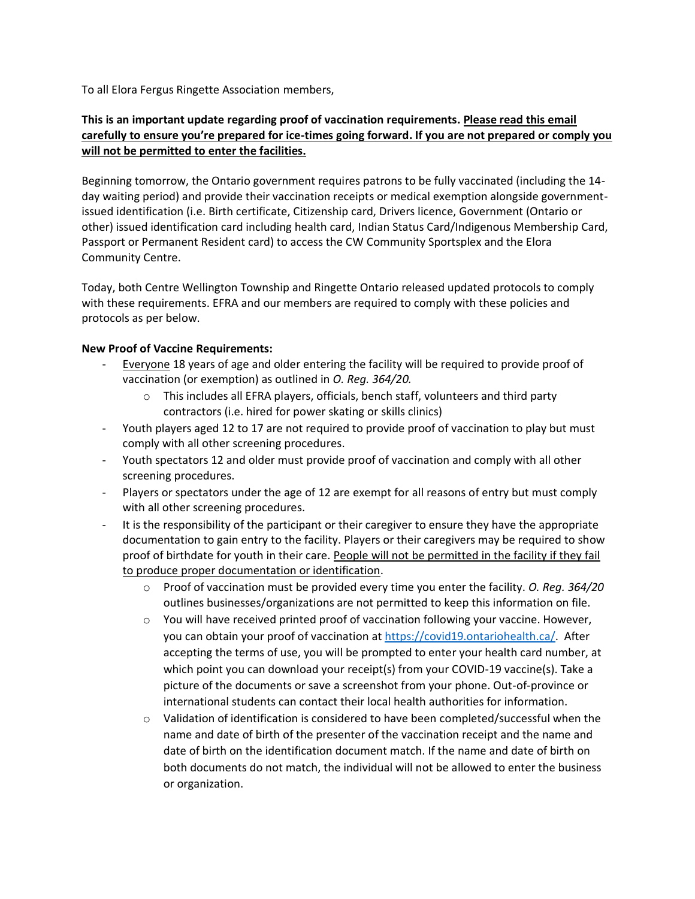To all Elora Fergus Ringette Association members,

# **This is an important update regarding proof of vaccination requirements. Please read this email carefully to ensure you're prepared for ice-times going forward. If you are not prepared or comply you will not be permitted to enter the facilities.**

Beginning tomorrow, the Ontario government requires patrons to be fully vaccinated (including the 14 day waiting period) and provide their vaccination receipts or medical exemption alongside governmentissued identification (i.e. Birth certificate, Citizenship card, Drivers licence, Government (Ontario or other) issued identification card including health card, Indian Status Card/Indigenous Membership Card, Passport or Permanent Resident card) to access the CW Community Sportsplex and the Elora Community Centre.

Today, both Centre Wellington Township and Ringette Ontario released updated protocols to comply with these requirements. EFRA and our members are required to comply with these policies and protocols as per below.

#### **New Proof of Vaccine Requirements:**

- Everyone 18 years of age and older entering the facility will be required to provide proof of vaccination (or exemption) as outlined in *O. Reg. 364/20.* 
	- $\circ$  This includes all EFRA players, officials, bench staff, volunteers and third party contractors (i.e. hired for power skating or skills clinics)
- Youth players aged 12 to 17 are not required to provide proof of vaccination to play but must comply with all other screening procedures.
- Youth spectators 12 and older must provide proof of vaccination and comply with all other screening procedures.
- Players or spectators under the age of 12 are exempt for all reasons of entry but must comply with all other screening procedures.
- It is the responsibility of the participant or their caregiver to ensure they have the appropriate documentation to gain entry to the facility. Players or their caregivers may be required to show proof of birthdate for youth in their care. People will not be permitted in the facility if they fail to produce proper documentation or identification.
	- o Proof of vaccination must be provided every time you enter the facility. *O. Reg. 364/20*  outlines businesses/organizations are not permitted to keep this information on file.
	- $\circ$  You will have received printed proof of vaccination following your vaccine. However, you can obtain your proof of vaccination at [https://covid19.ontariohealth.ca/.](https://covid19.ontariohealth.ca/) After accepting the terms of use, you will be prompted to enter your health card number, at which point you can download your receipt(s) from your COVID-19 vaccine(s). Take a picture of the documents or save a screenshot from your phone. Out-of-province or international students can contact their local health authorities for information.
	- $\circ$  Validation of identification is considered to have been completed/successful when the name and date of birth of the presenter of the vaccination receipt and the name and date of birth on the identification document match. If the name and date of birth on both documents do not match, the individual will not be allowed to enter the business or organization.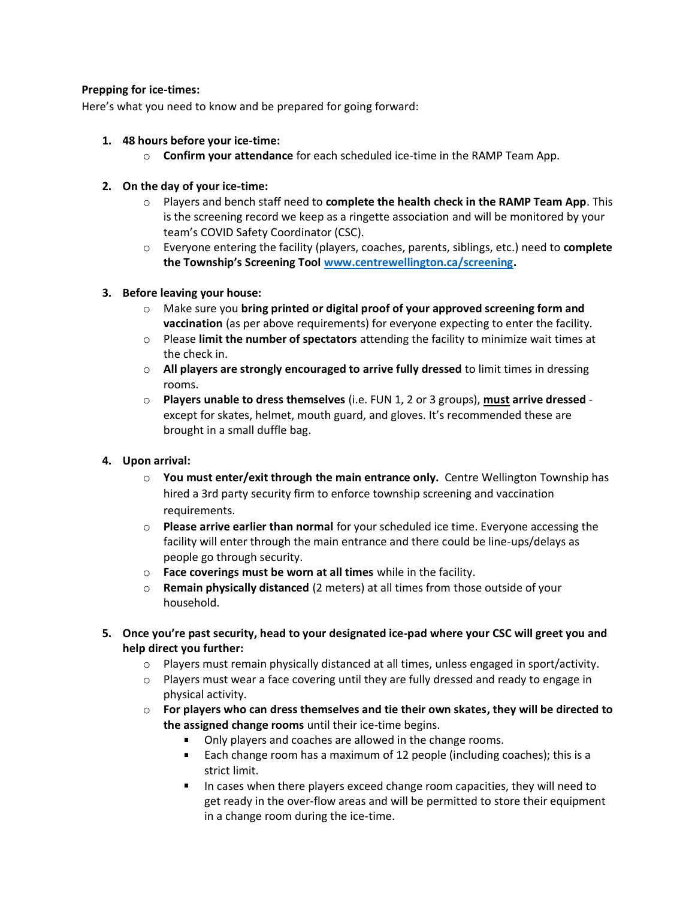## **Prepping for ice-times:**

Here's what you need to know and be prepared for going forward:

- **1. 48 hours before your ice-time:**
	- o **Confirm your attendance** for each scheduled ice-time in the RAMP Team App.
- **2. On the day of your ice-time:**
	- o Players and bench staff need to **complete the health check in the RAMP Team App**. This is the screening record we keep as a ringette association and will be monitored by your team's COVID Safety Coordinator (CSC).
	- o Everyone entering the facility (players, coaches, parents, siblings, etc.) need to **complete the Township's Screening Tool [www.centrewellington.ca/screening.](http://www.centrewellington.ca/screening)**

## **3. Before leaving your house:**

- o Make sure you **bring printed or digital proof of your approved screening form and vaccination** (as per above requirements) for everyone expecting to enter the facility.
- o Please **limit the number of spectators** attending the facility to minimize wait times at the check in.
- o **All players are strongly encouraged to arrive fully dressed** to limit times in dressing rooms.
- o **Players unable to dress themselves** (i.e. FUN 1, 2 or 3 groups), **must arrive dressed** except for skates, helmet, mouth guard, and gloves. It's recommended these are brought in a small duffle bag.

# **4. Upon arrival:**

- o **You must enter/exit through the main entrance only.** Centre Wellington Township has hired a 3rd party security firm to enforce township screening and vaccination requirements.
- o **Please arrive earlier than normal** for your scheduled ice time. Everyone accessing the facility will enter through the main entrance and there could be line-ups/delays as people go through security.
- o **Face coverings must be worn at all times** while in the facility.
- o **Remain physically distanced** (2 meters) at all times from those outside of your household.
- **5. Once you're past security, head to your designated ice-pad where your CSC will greet you and help direct you further:**
	- $\circ$  Players must remain physically distanced at all times, unless engaged in sport/activity.
	- $\circ$  Players must wear a face covering until they are fully dressed and ready to engage in physical activity.
	- o **For players who can dress themselves and tie their own skates, they will be directed to the assigned change rooms** until their ice-time begins.
		- **Dialog 1.5 Depty Property and Coaches are allowed in the change rooms.**
		- **Each change room has a maximum of 12 people (including coaches); this is a** strict limit.
		- In cases when there players exceed change room capacities, they will need to get ready in the over-flow areas and will be permitted to store their equipment in a change room during the ice-time.